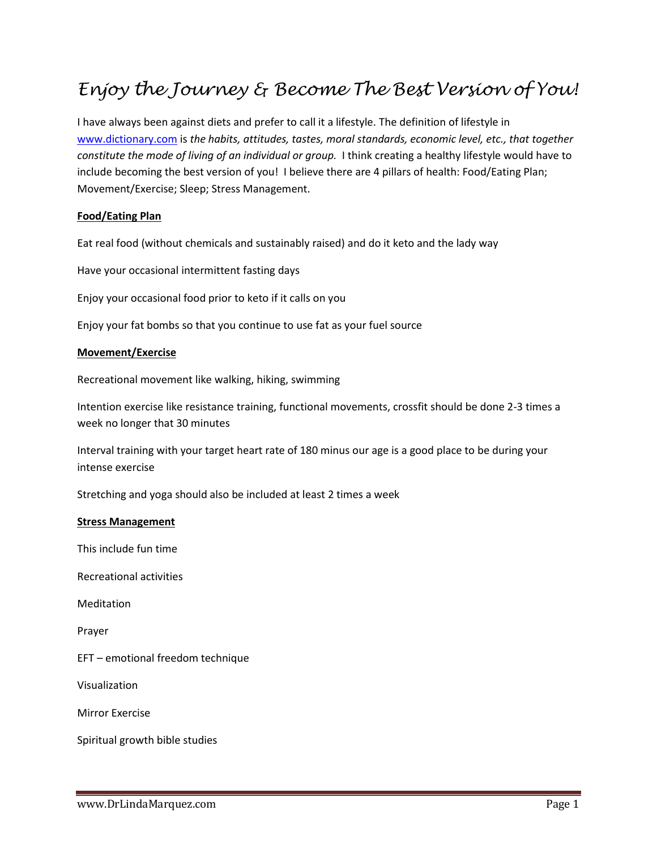## *Enjoy the Journey & Become The Best Version of You!*

I have always been against diets and prefer to call it a lifestyle. The definition of lifestyle in [www.dictionary.com](http://www.dictionary.com/) is *the habits, attitudes, tastes, moral standards, economic level, etc., that together constitute the mode of living of an individual or group.* I think creating a healthy lifestyle would have to include becoming the best version of you! I believe there are 4 pillars of health: Food/Eating Plan; Movement/Exercise; Sleep; Stress Management.

## **Food/Eating Plan**

Eat real food (without chemicals and sustainably raised) and do it keto and the lady way

Have your occasional intermittent fasting days

Enjoy your occasional food prior to keto if it calls on you

Enjoy your fat bombs so that you continue to use fat as your fuel source

## **Movement/Exercise**

Recreational movement like walking, hiking, swimming

Intention exercise like resistance training, functional movements, crossfit should be done 2-3 times a week no longer that 30 minutes

Interval training with your target heart rate of 180 minus our age is a good place to be during your intense exercise

Stretching and yoga should also be included at least 2 times a week

## **Stress Management**

This include fun time

Recreational activities

Meditation

Prayer

EFT – emotional freedom technique

Visualization

Mirror Exercise

Spiritual growth bible studies